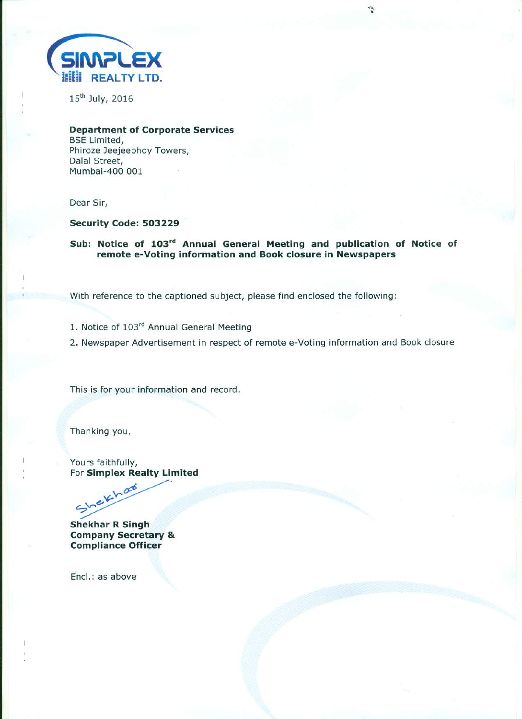

15<sup>th</sup> July, 2016

**Department of Corporate Services BSE Limited,** Phiroze Jeejeebhoy Towers, Dalal Street, Mumbai-400 001

Dear Sir,

## Security Code: 503229

Sub: Notice of 103rd Annual General Meeting and publication of Notice of remote e-Voting information and Book closure in Newspapers

With reference to the captioned subject, please find enclosed the following:

- 1. Notice of 103rd Annual General Meeting
- 2. Newspaper Advertisement in respect of remote e-Voting information and Book closure

This is for your information and record.

Thanking you,

Yours faithfully, For Simplex Realty Limited

Shekhar **Shekhar R Singh Company Secretary & Compliance Officer** 

Encl.: as above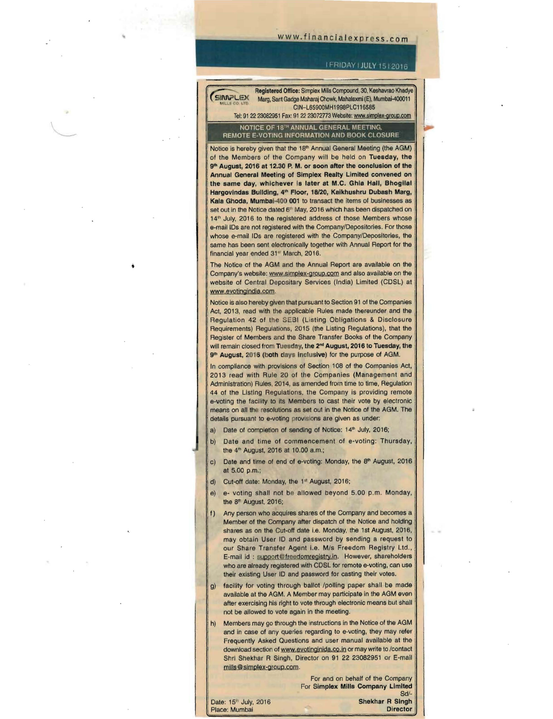## www.financialexpress.com

#### IFRIDAY I JULY 1512016

Registered Office: Simplex Mills Compound, 30, Keshavrao Khadye ~LE)( Marg, Sant Gadge Maharaj Chowk, Mahalaxmi (E), Mumbai-400011 **t.ttu.. .0 '-II)** CIN-L65900MHI998PLCII6585 Tel: 91 22 23082951 Fax: 91 22 23072773 Website: www.simplex-group.com

NOTICE OF 16'" ANNUAL GENERAL MEETING. REMOTE E·VOTING INFORMATION AND BOOK CLOSURE

HERIOTE E-VOTTING INFORMATION AND BOOK CEOSONE<br>Notice is hereby given that the 18<sup>th</sup> Annual General Meeting (the AGM) of the Members of the Company will be held on Tuesday, the 9<sup>th</sup> August, 2016 at 12.30 P. M. or soon after the conclusion of the Annual General Meeting of Simplex Realty Limited convened on the same day, whichever is later at M.C. Ghia Hall, Bhogilal Hargovindas Building, 4<sup>th</sup> Floor, 18/20, Kaikhushru Dubash Marg, Set out in the Notice dated 6<sup>th</sup> May, 2016 which has been dispatched on<br>1 set out in the Notice dated 6<sup>th</sup> May, 2016 which has been dispatched on<br>1.4th Luky, 2016 to the registered address of these Members whose Kala Ghoda, Mumbai-400 001 to transact the items of businesses as 14<sup>th</sup> July, 2016 to the registered address of those Members whose e-mail IDs are not registered with the Company/Depositories. For those whose e·mail IDs are registered with the Company/Depositories, the same has been sent electronically together with Annual Report for the financial year ended 31" March, 2016.

The Notice of the AGM and the Annual Report are available on the Company's website: www.simplex-group.com and also available on the website of Central Depositary Services (India) Limited (CDSL) at www.evotingindia.com.

Notice is also hereby given that pursuant to Section 91 of the Companies Act, 2013, read with the applicable Rules made thereunder and the Regulation 42 of the SEBI (Listing Obligations & Disclosure Requirements) Regulations, 2015 (the Listing Regulations), that the Register of Members and the Share Transfer Books of the Company will remain closed from Tuesday, the 2<sup>nd</sup> August, 2016 to Tuesday, the 9<sup>th</sup> August, 2016 (both days inclusive) for the purpose of AGM.

In compliance with provisions of Section 108 of the Companies Act, 2013 read with Rule 20 of the Companies (Management and Administration) Rules, 2014, as amended from time to time, Regulation 44 of the Listing Regulations, the Company is providing remote e-voting the facility to its Members to cast their vote by electronic means on all the resolutions as set out in the Notice of the AGM. The details pursuant to e-voting provisions are given as under:

- a) Date of completion of sending of Notice: 14<sup>th</sup> July, 2016;
- b) Date and time of commencement of e-voting: Thursday, the 4" August, 2016 at 10.00 a.m.;
- c) Date and time of end of e-voting: Monday, the 8<sup>th</sup> August, 2016 at 5.00 p.m.;
- d) Cut-off date: Monday, the 1st August, 2016;
- e) e- voting shall not be allowed beyond 5.00 p.m. Monday, the 8<sup>th</sup> August, 2016;
- f) Any person who acquires shares of the Company and becomes a Member of the Company after dispatch of the Notice and holding shares as on the Cut-off date i.e. Monday, the 1st August, 2016, may obtain User 10 and password by sending a request to our Share Transfer Agent i.e. M/s Freedom Registry Ltd., E-mail id : support@freedomregistry.in. However, shareholders who are already registered with CDSL for remote e-voting, can use their existing User ID and password for casting their votes.
- g) facility for voting through ballot /polling paper shall be made available at the AGM. A Member may participate in the AGM even after exercising his right to vote through electronic means but shall not be allowed to vote again in the meeting.
- h) Members may go through the instructions in the Notice of the AGM and in case of any queries regarding to e-voting, they may refer Frequently Asked Questions and user manual available at the download section of www.evotinginida.co.in or may write to /contact Shri Shekhar R Singh, Director on 91 22 23082951 or E-mail mills@simplex-group.com.

For and on behalf of the Company For Simplex Mills Company Limited

**Date: 15" July, 2016 Shekhar R Singh Shekhar R Singh Place:** Mumbai Place: Mumbai

Sd/-<br>Shekhar R Singh

I